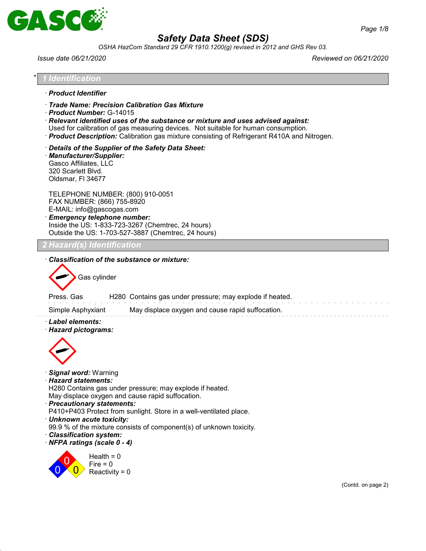

*OSHA HazCom Standard 29 CFR 1910.1200(g) revised in 2012 and GHS Rev 03.*

*Issue date 06/21/2020 Reviewed on 06/21/2020*

| Identification                                                                                                                                                                                                                                                                                                                                           |  |
|----------------------------------------------------------------------------------------------------------------------------------------------------------------------------------------------------------------------------------------------------------------------------------------------------------------------------------------------------------|--|
| · Product Identifier                                                                                                                                                                                                                                                                                                                                     |  |
| Trade Name: Precision Calibration Gas Mixture<br>Product Number: G-14015<br>$\cdot$ Relevant identified uses of the substance or mixture and uses advised against:<br>Used for calibration of gas measuring devices. Not suitable for human consumption.<br>· Product Description: Calibration gas mixture consisting of Refrigerant R410A and Nitrogen. |  |
| Details of the Supplier of the Safety Data Sheet:<br>· Manufacturer/Supplier:<br>Gasco Affiliates, LLC<br>320 Scarlett Blvd.<br>Oldsmar, FI 34677                                                                                                                                                                                                        |  |
| TELEPHONE NUMBER: (800) 910-0051<br>FAX NUMBER: (866) 755-8920<br>E-MAIL: info@gascogas.com<br>· Emergency telephone number:<br>Inside the US: 1-833-723-3267 (Chemtrec, 24 hours)<br>Outside the US: 1-703-527-3887 (Chemtrec, 24 hours)                                                                                                                |  |
| <b>Hazard(s) Identification</b>                                                                                                                                                                                                                                                                                                                          |  |
| Press. Gas<br>H280 Contains gas under pressure; may explode if heated.<br>May displace oxygen and cause rapid suffocation.<br>Simple Asphyxiant<br>· Label elements:                                                                                                                                                                                     |  |
| · Hazard pictograms:                                                                                                                                                                                                                                                                                                                                     |  |
| · Signal word: Warning<br>$\cdot$ Hazard statements:<br>H280 Contains gas under pressure; may explode if heated.<br>May displace oxygen and cause rapid suffocation.<br>· Precautionary statements:<br>P410+P403 Protect from sunlight. Store in a well-ventilated place.                                                                                |  |
| · Unknown acute toxicity:<br>99.9 % of the mixture consists of component(s) of unknown toxicity.<br>· Classification system:                                                                                                                                                                                                                             |  |
| · NFPA ratings (scale 0 - 4)<br>Health = $0$<br>Fire $= 0$<br>Reactivity = $0$                                                                                                                                                                                                                                                                           |  |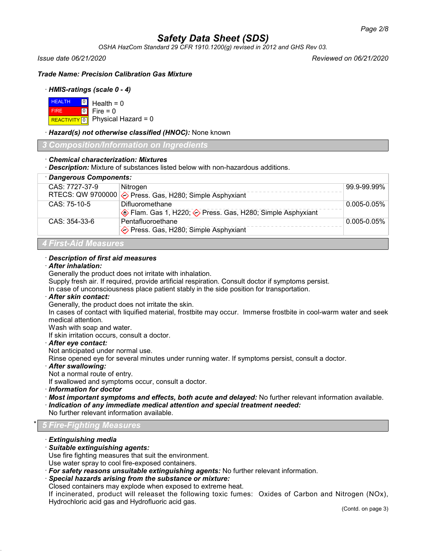*OSHA HazCom Standard 29 CFR 1910.1200(g) revised in 2012 and GHS Rev 03.*

*Issue date 06/21/2020 Reviewed on 06/21/2020*

*Trade Name: Precision Calibration Gas Mixture*

## · *HMIS-ratings (scale 0 - 4)*

| $H = 0$ Health = 0 |                                      |
|--------------------|--------------------------------------|
| <b>FIRE</b>        | $\textcolor{blue}{\bullet}$ Fire = 0 |
|                    | REACTIVITY 0 Physical Hazard = 0     |

## · *Hazard(s) not otherwise classified (HNOC):* None known

*3 Composition/Information on Ingredients*

## · *Chemical characterization: Mixtures*

· *Description:* Mixture of substances listed below with non-hazardous additions.

| · Dangerous Components: |                                                                              |                  |
|-------------------------|------------------------------------------------------------------------------|------------------|
| CAS: 7727-37-9          | Nitrogen<br>RTECS: QW 9700000 $\diamond$ Press. Gas, H280; Simple Asphyxiant | 99.9-99.99%      |
| $CAS: 75-10-5$          | Difluoromethane<br>Elam. Gas 1, H220;  b Press. Gas, H280; Simple Asphyxiant | $0.005 - 0.05\%$ |
| $CAS: 354-33-6$         | Pentafluoroethane<br>◆ Press. Gas, H280; Simple Asphyxiant                   | $0.005 - 0.05\%$ |
|                         |                                                                              |                  |

## *4 First-Aid Measures*

## · *Description of first aid measures*

#### · *After inhalation:*

Generally the product does not irritate with inhalation.

Supply fresh air. If required, provide artificial respiration. Consult doctor if symptoms persist.

In case of unconsciousness place patient stably in the side position for transportation.

#### · *After skin contact:*

Generally, the product does not irritate the skin.

In cases of contact with liquified material, frostbite may occur. Immerse frostbite in cool-warm water and seek medical attention.

Wash with soap and water.

If skin irritation occurs, consult a doctor.

## · *After eye contact:*

Not anticipated under normal use.

Rinse opened eye for several minutes under running water. If symptoms persist, consult a doctor.

## · *After swallowing:*

Not a normal route of entry.

If swallowed and symptoms occur, consult a doctor.

- · *Information for doctor*
- · *Most important symptoms and effects, both acute and delayed:* No further relevant information available.
- · *Indication of any immediate medical attention and special treatment needed:*

No further relevant information available.

## \* *5 Fire-Fighting Measures*

### · *Extinguishing media*

## · *Suitable extinguishing agents:*

Use fire fighting measures that suit the environment.

Use water spray to cool fire-exposed containers.

· *For safety reasons unsuitable extinguishing agents:* No further relevant information.

## · *Special hazards arising from the substance or mixture:*

Closed containers may explode when exposed to extreme heat.

If incinerated, product will releaset the following toxic fumes: Oxides of Carbon and Nitrogen (NOx), Hydrochloric acid gas and Hydrofluoric acid gas.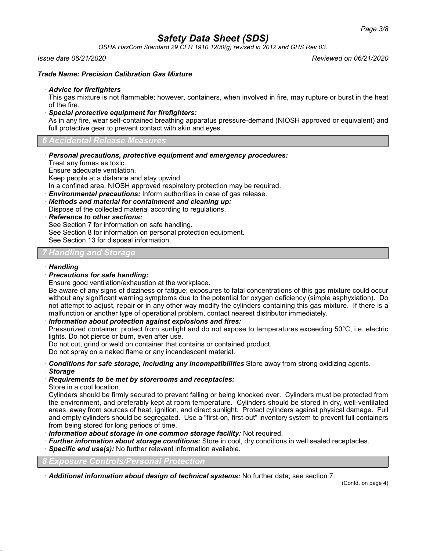*OSHA HazCom Standard 29 CFR 1910.1200(g) revised in 2012 and GHS Rev 03.*

#### *Issue date 06/21/2020 Reviewed on 06/21/2020*

### *Trade Name: Precision Calibration Gas Mixture*

#### · *Advice for firefighters*

This gas mixture is not flammable; however, containers, when involved in fire, may rupture or burst in the heat of the fire.

· *Special protective equipment for firefighters:*

As in any fire, wear self-contained breathing apparatus pressure-demand (NIOSH approved or equivalent) and full protective gear to prevent contact with skin and eyes.

*6 Accidental Release Measures*

· *Personal precautions, protective equipment and emergency procedures:*

Treat any fumes as toxic.

Ensure adequate ventilation.

Keep people at a distance and stay upwind.

In a confined area, NIOSH approved respiratory protection may be required.

· *Environmental precautions:* Inform authorities in case of gas release.

· *Methods and material for containment and cleaning up:*

Dispose of the collected material according to regulations.

· *Reference to other sections:*

See Section 7 for information on safe handling.

See Section 8 for information on personal protection equipment.

See Section 13 for disposal information.

## *7 Handling and Storage*

### · *Handling*

#### · *Precautions for safe handling:*

Ensure good ventilation/exhaustion at the workplace.

Be aware of any signs of dizziness or fatigue; exposures to fatal concentrations of this gas mixture could occur without any significant warning symptoms due to the potential for oxygen deficiency (simple asphyxiation). Do not attempt to adjust, repair or in any other way modify the cylinders containing this gas mixture. If there is a malfunction or another type of operational problem, contact nearest distributor immediately.

## · *Information about protection against explosions and fires:*

Pressurized container: protect from sunlight and do not expose to temperatures exceeding 50°C, i.e. electric lights. Do not pierce or burn, even after use.

Do not cut, grind or weld on container that contains or contained product.

Do not spray on a naked flame or any incandescent material.

· *Conditions for safe storage, including any incompatibilities* Store away from strong oxidizing agents.

· *Storage*

## · *Requirements to be met by storerooms and receptacles:*

Store in a cool location.

Cylinders should be firmly secured to prevent falling or being knocked over. Cylinders must be protected from the environment, and preferably kept at room temperature. Cylinders should be stored in dry, well-ventilated areas, away from sources of heat, ignition, and direct sunlight. Protect cylinders against physical damage. Full and empty cylinders should be segregated. Use a "first-on, first-out" inventory system to prevent full containers from being stored for long periods of time.

- · *Information about storage in one common storage facility:* Not required.
- · *Further information about storage conditions:* Store in cool, dry conditions in well sealed receptacles.
- · *Specific end use(s):* No further relevant information available.

*8 Exposure Controls/Personal Protection*

· *Additional information about design of technical systems:* No further data; see section 7.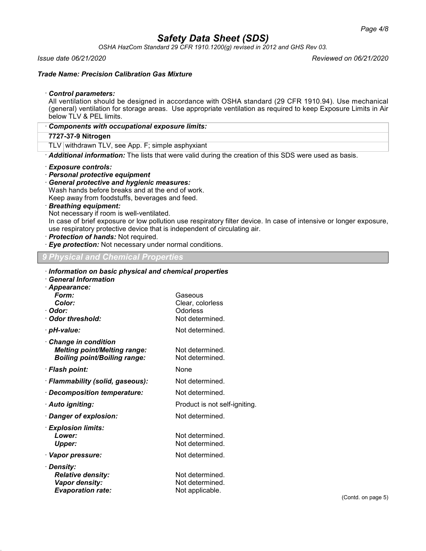*OSHA HazCom Standard 29 CFR 1910.1200(g) revised in 2012 and GHS Rev 03.*

*Issue date 06/21/2020 Reviewed on 06/21/2020*

### *Trade Name: Precision Calibration Gas Mixture*

#### · *Control parameters:*

All ventilation should be designed in accordance with OSHA standard (29 CFR 1910.94). Use mechanical (general) ventilation for storage areas. Use appropriate ventilation as required to keep Exposure Limits in Air below TLV & PEL limits.

| Components with occupational exposure limits: |  |  |
|-----------------------------------------------|--|--|
|-----------------------------------------------|--|--|

#### **7727-37-9 Nitrogen**

TLV withdrawn TLV, see App. F; simple asphyxiant

· *Additional information:* The lists that were valid during the creation of this SDS were used as basis.

#### · *Exposure controls:*

- · *Personal protective equipment*
- · *General protective and hygienic measures:*

Wash hands before breaks and at the end of work.

Keep away from foodstuffs, beverages and feed.

· *Breathing equipment:*

Not necessary if room is well-ventilated.

In case of brief exposure or low pollution use respiratory filter device. In case of intensive or longer exposure, use respiratory protective device that is independent of circulating air.

- · *Protection of hands:* Not required.
- · *Eye protection:* Not necessary under normal conditions.

## *9 Physical and Chemical Properties*

| Information on basic physical and chemical properties<br>· General Information                      |                                                            |
|-----------------------------------------------------------------------------------------------------|------------------------------------------------------------|
| · Appearance:<br>Form:<br>Color:<br>∙ Odor:<br>Odor threshold:                                      | Gaseous<br>Clear, colorless<br>Odorless<br>Not determined. |
| · pH-value:                                                                                         | Not determined.                                            |
| · Change in condition<br><b>Melting point/Melting range:</b><br><b>Boiling point/Boiling range:</b> | Not determined.<br>Not determined.                         |
| · Flash point:                                                                                      | None                                                       |
| · Flammability (solid, gaseous):                                                                    | Not determined.                                            |
| · Decomposition temperature:                                                                        | Not determined.                                            |
| · Auto igniting:                                                                                    | Product is not self-igniting.                              |
| · Danger of explosion:                                                                              | Not determined.                                            |
| · Explosion limits:<br>Lower:<br><b>Upper:</b>                                                      | Not determined.<br>Not determined.                         |
| · Vapor pressure:                                                                                   | Not determined.                                            |
| · Density:<br><b>Relative density:</b><br><b>Vapor density:</b><br><b>Evaporation rate:</b>         | Not determined.<br>Not determined.<br>Not applicable.      |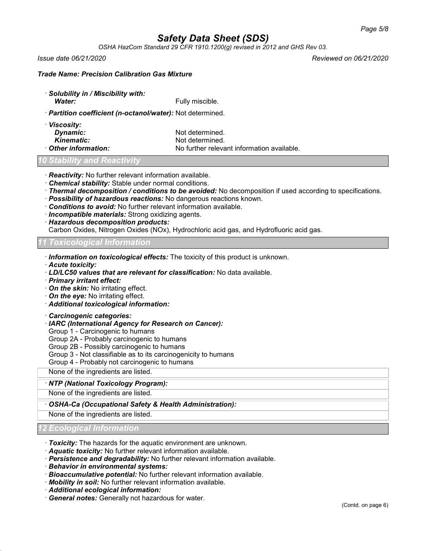*OSHA HazCom Standard 29 CFR 1910.1200(g) revised in 2012 and GHS Rev 03.*

*Issue date 06/21/2020 Reviewed on 06/21/2020*

## *Trade Name: Precision Calibration Gas Mixture*

· *Solubility in / Miscibility with: Water:* Fully miscible.

- · *Partition coefficient (n-octanol/water):* Not determined.
- · *Viscosity:* **Dynamic:** Not determined. **Kinematic:** Not determined.

**Other information:** No further relevant information available.

## *Stability and Reactivity*

- · *Reactivity:* No further relevant information available.
- · *Chemical stability:* Stable under normal conditions.
- · *Thermal decomposition / conditions to be avoided:* No decomposition if used according to specifications.
- · *Possibility of hazardous reactions:* No dangerous reactions known.
- · *Conditions to avoid:* No further relevant information available.
- · *Incompatible materials:* Strong oxidizing agents.
- · *Hazardous decomposition products:*

Carbon Oxides, Nitrogen Oxides (NOx), Hydrochloric acid gas, and Hydrofluoric acid gas.

## *11 Toxicological Information*

· *Information on toxicological effects:* The toxicity of this product is unknown.

· *Acute toxicity:*

- · *LD/LC50 values that are relevant for classification:* No data available.
- · *Primary irritant effect:*
- · *On the skin:* No irritating effect.
- · *On the eye:* No irritating effect.
- · *Additional toxicological information:*

#### · *Carcinogenic categories:*

- · *IARC (International Agency for Research on Cancer):*
- Group 1 Carcinogenic to humans
- Group 2A Probably carcinogenic to humans
- Group 2B Possibly carcinogenic to humans
- Group 3 Not classifiable as to its carcinogenicity to humans
- Group 4 Probably not carcinogenic to humans

None of the ingredients are listed.

## · *NTP (National Toxicology Program):*

None of the ingredients are listed.

· *OSHA-Ca (Occupational Safety & Health Administration):*

None of the ingredients are listed.

## *12 Ecological Information*

- · *Toxicity:* The hazards for the aquatic environment are unknown.
- · *Aquatic toxicity:* No further relevant information available.
- · *Persistence and degradability:* No further relevant information available.
- · *Behavior in environmental systems:*
- · *Bioaccumulative potential:* No further relevant information available.
- · *Mobility in soil:* No further relevant information available.
- · *Additional ecological information:*
- · *General notes:* Generally not hazardous for water.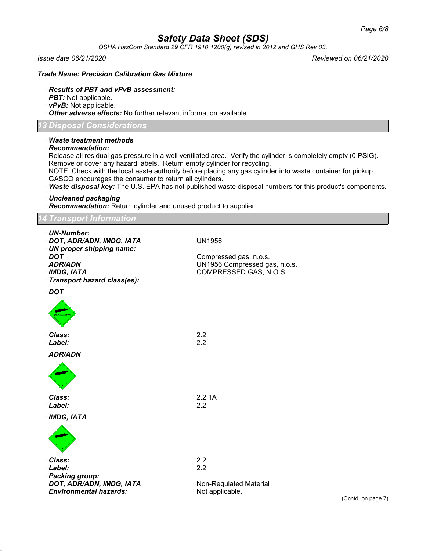*OSHA HazCom Standard 29 CFR 1910.1200(g) revised in 2012 and GHS Rev 03.*

*Issue date 06/21/2020 Reviewed on 06/21/2020*

## *Trade Name: Precision Calibration Gas Mixture*

## · *Results of PBT and vPvB assessment:*

- · *PBT:* Not applicable.
- · *vPvB:* Not applicable.

· *Other adverse effects:* No further relevant information available.

## *13 Disposal Considerations*

| isposal Considerations                                                                                                                                                                    |                                                                                                                                                                                                                                                                                                                                             |
|-------------------------------------------------------------------------------------------------------------------------------------------------------------------------------------------|---------------------------------------------------------------------------------------------------------------------------------------------------------------------------------------------------------------------------------------------------------------------------------------------------------------------------------------------|
| · Waste treatment methods<br>$\cdot$ Recommendation:<br>Remove or cover any hazard labels. Return empty cylinder for recycling.<br>GASCO encourages the consumer to return all cylinders. | Release all residual gas pressure in a well ventilated area. Verify the cylinder is completely empty (0 PSIG).<br>NOTE: Check with the local easte authority before placing any gas cylinder into waste container for pickup.<br>· Waste disposal key: The U.S. EPA has not published waste disposal numbers for this product's components. |
| · Uncleaned packaging<br>· Recommendation: Return cylinder and unused product to supplier.                                                                                                |                                                                                                                                                                                                                                                                                                                                             |
| <b>Transport Information</b>                                                                                                                                                              |                                                                                                                                                                                                                                                                                                                                             |
| · UN-Number:<br>· DOT, ADR/ADN, IMDG, IATA<br>· UN proper shipping name:<br>$\cdot$ DOT                                                                                                   | <b>UN1956</b><br>Compressed gas, n.o.s.                                                                                                                                                                                                                                                                                                     |
| · ADR/ADN<br>· IMDG, IATA<br>· Transport hazard class(es):                                                                                                                                | UN1956 Compressed gas, n.o.s.<br>COMPRESSED GAS, N.O.S.                                                                                                                                                                                                                                                                                     |
| $\cdot$ DOT                                                                                                                                                                               |                                                                                                                                                                                                                                                                                                                                             |
| · Class:<br>· Label:                                                                                                                                                                      | 2.2<br>2.2                                                                                                                                                                                                                                                                                                                                  |
| · ADR/ADN                                                                                                                                                                                 |                                                                                                                                                                                                                                                                                                                                             |
| · Class:<br>· Label:                                                                                                                                                                      | 2.21A<br>2.2                                                                                                                                                                                                                                                                                                                                |
| $·$ IMDG, IATA                                                                                                                                                                            |                                                                                                                                                                                                                                                                                                                                             |
| Class:<br>· Label:<br>· Packing group:<br>· DOT, ADR/ADN, IMDG, IATA                                                                                                                      | 2.2<br>2.2<br>Non-Regulated Material                                                                                                                                                                                                                                                                                                        |
|                                                                                                                                                                                           |                                                                                                                                                                                                                                                                                                                                             |

· *Environmental hazards:* Not applicable.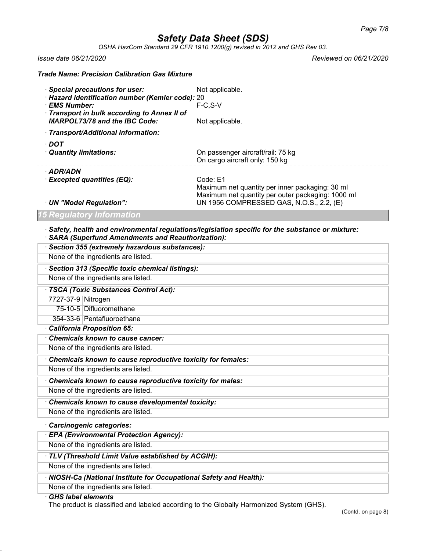*OSHA HazCom Standard 29 CFR 1910.1200(g) revised in 2012 and GHS Rev 03.*

*Trade Name: Precision Calibration Gas Mixture*

*Issue date 06/21/2020 Reviewed on 06/21/2020*

| · Special precautions for user:                                                                                 | Not applicable.                                                                                                  |
|-----------------------------------------------------------------------------------------------------------------|------------------------------------------------------------------------------------------------------------------|
| · Hazard identification number (Kemler code): 20<br>· EMS Number:<br>Transport in bulk according to Annex II of | $F-C.S-V$                                                                                                        |
| <b>MARPOL73/78 and the IBC Code:</b>                                                                            | Not applicable.                                                                                                  |
| · Transport/Additional information:                                                                             |                                                                                                                  |
| · DOT<br>Quantity limitations:                                                                                  | On passenger aircraft/rail: 75 kg<br>On cargo aircraft only: 150 kg                                              |
| · ADR/ADN<br>· Excepted quantities (EQ):                                                                        | Code: E1<br>Maximum net quantity per inner packaging: 30 ml<br>Maximum net quantity per outer packaging: 1000 ml |
| · UN "Model Regulation":                                                                                        | UN 1956 COMPRESSED GAS, N.O.S., 2.2, (E)                                                                         |
| 15 Regulatory Information                                                                                       |                                                                                                                  |
|                                                                                                                 |                                                                                                                  |

#### · *Safety, health and environmental regulations/legislation specific for the substance or mixture:* · *SARA (Superfund Amendments and Reauthorization):*

| · Section 355 (extremely hazardous substances):                     |
|---------------------------------------------------------------------|
| None of the ingredients are listed.                                 |
| · Section 313 (Specific toxic chemical listings):                   |
| None of the ingredients are listed.                                 |
| · TSCA (Toxic Substances Control Act):                              |
| 7727-37-9 Nitrogen                                                  |
| 75-10-5 Difluoromethane                                             |
| 354-33-6 Pentafluoroethane                                          |
| California Proposition 65:                                          |
| <b>Chemicals known to cause cancer:</b>                             |
| None of the ingredients are listed.                                 |
| Chemicals known to cause reproductive toxicity for females:         |
| None of the ingredients are listed.                                 |
| Chemicals known to cause reproductive toxicity for males:           |
| None of the ingredients are listed.                                 |
| Chemicals known to cause developmental toxicity:                    |
| None of the ingredients are listed.                                 |
| · Carcinogenic categories:                                          |
| <b>EPA (Environmental Protection Agency):</b>                       |
| None of the ingredients are listed.                                 |
| · TLV (Threshold Limit Value established by ACGIH):                 |
| None of the ingredients are listed.                                 |
| · NIOSH-Ca (National Institute for Occupational Safety and Health): |
|                                                                     |
| None of the ingredients are listed.<br><b>GHS label elements</b>    |